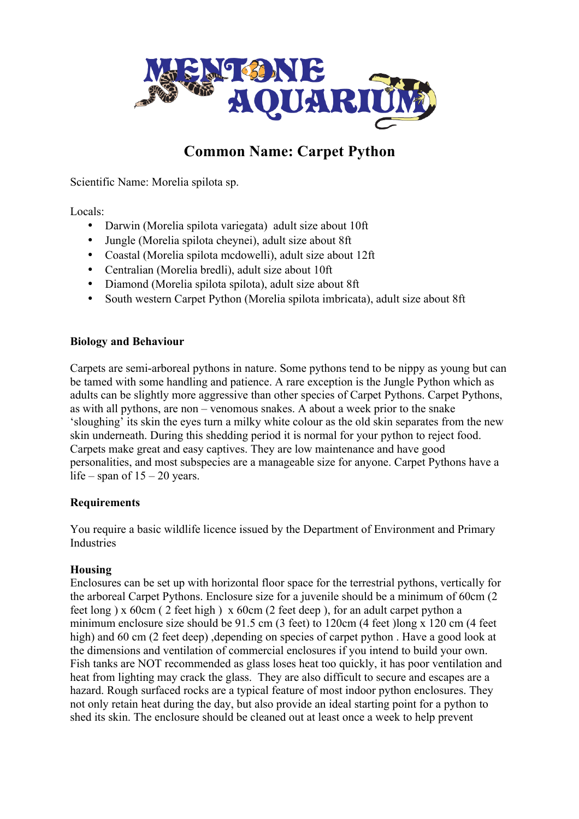

# **Common Name: Carpet Python**

Scientific Name: Morelia spilota sp.

Locals:

- Darwin (Morelia spilota variegata) adult size about 10ft
- Jungle (Morelia spilota cheynei), adult size about 8ft
- Coastal (Morelia spilota mcdowelli), adult size about 12ft
- Centralian (Morelia bredli), adult size about 10ft
- Diamond (Morelia spilota spilota), adult size about 8ft
- South western Carpet Python (Morelia spilota imbricata), adult size about 8ft

#### **Biology and Behaviour**

Carpets are semi-arboreal pythons in nature. Some pythons tend to be nippy as young but can be tamed with some handling and patience. A rare exception is the Jungle Python which as adults can be slightly more aggressive than other species of Carpet Pythons. Carpet Pythons, as with all pythons, are non – venomous snakes. A about a week prior to the snake 'sloughing' its skin the eyes turn a milky white colour as the old skin separates from the new skin underneath. During this shedding period it is normal for your python to reject food. Carpets make great and easy captives. They are low maintenance and have good personalities, and most subspecies are a manageable size for anyone. Carpet Pythons have a life – span of  $15 - 20$  years.

## **Requirements**

You require a basic wildlife licence issued by the Department of Environment and Primary Industries

## **Housing**

Enclosures can be set up with horizontal floor space for the terrestrial pythons, vertically for the arboreal Carpet Pythons. Enclosure size for a juvenile should be a minimum of 60cm (2 feet long ) x 60cm ( 2 feet high ) x 60cm (2 feet deep ), for an adult carpet python a minimum enclosure size should be 91.5 cm (3 feet) to 120cm (4 feet )long x 120 cm (4 feet high) and 60 cm (2 feet deep), depending on species of carpet python. Have a good look at the dimensions and ventilation of commercial enclosures if you intend to build your own. Fish tanks are NOT recommended as glass loses heat too quickly, it has poor ventilation and heat from lighting may crack the glass. They are also difficult to secure and escapes are a hazard. Rough surfaced rocks are a typical feature of most indoor python enclosures. They not only retain heat during the day, but also provide an ideal starting point for a python to shed its skin. The enclosure should be cleaned out at least once a week to help prevent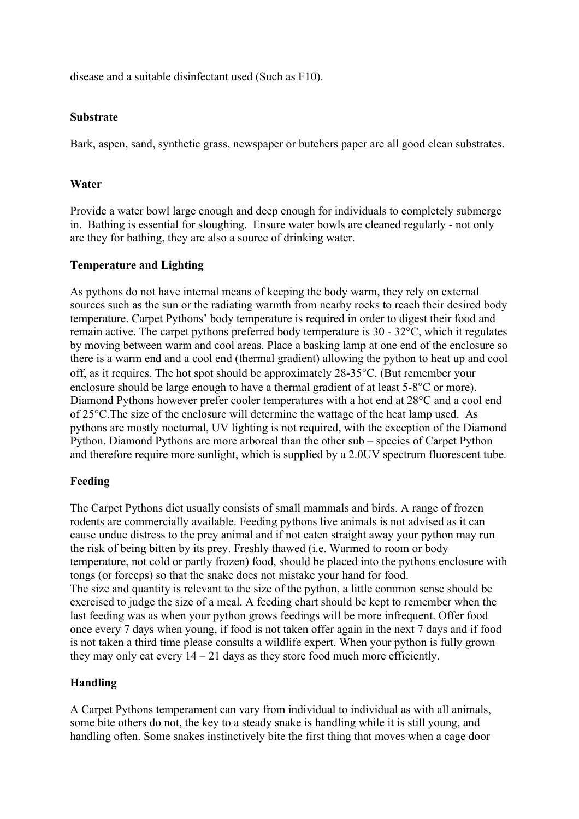disease and a suitable disinfectant used (Such as F10).

#### **Substrate**

Bark, aspen, sand, synthetic grass, newspaper or butchers paper are all good clean substrates.

#### **Water**

Provide a water bowl large enough and deep enough for individuals to completely submerge in. Bathing is essential for sloughing. Ensure water bowls are cleaned regularly - not only are they for bathing, they are also a source of drinking water.

## **Temperature and Lighting**

As pythons do not have internal means of keeping the body warm, they rely on external sources such as the sun or the radiating warmth from nearby rocks to reach their desired body temperature. Carpet Pythons' body temperature is required in order to digest their food and remain active. The carpet pythons preferred body temperature is 30 - 32°C, which it regulates by moving between warm and cool areas. Place a basking lamp at one end of the enclosure so there is a warm end and a cool end (thermal gradient) allowing the python to heat up and cool off, as it requires. The hot spot should be approximately 28-35°C. (But remember your enclosure should be large enough to have a thermal gradient of at least 5-8°C or more). Diamond Pythons however prefer cooler temperatures with a hot end at 28°C and a cool end of 25°C.The size of the enclosure will determine the wattage of the heat lamp used. As pythons are mostly nocturnal, UV lighting is not required, with the exception of the Diamond Python. Diamond Pythons are more arboreal than the other sub – species of Carpet Python and therefore require more sunlight, which is supplied by a 2.0UV spectrum fluorescent tube.

## **Feeding**

The Carpet Pythons diet usually consists of small mammals and birds. A range of frozen rodents are commercially available. Feeding pythons live animals is not advised as it can cause undue distress to the prey animal and if not eaten straight away your python may run the risk of being bitten by its prey. Freshly thawed (i.e. Warmed to room or body temperature, not cold or partly frozen) food, should be placed into the pythons enclosure with tongs (or forceps) so that the snake does not mistake your hand for food. The size and quantity is relevant to the size of the python, a little common sense should be exercised to judge the size of a meal. A feeding chart should be kept to remember when the last feeding was as when your python grows feedings will be more infrequent. Offer food once every 7 days when young, if food is not taken offer again in the next 7 days and if food is not taken a third time please consults a wildlife expert. When your python is fully grown they may only eat every  $14 - 21$  days as they store food much more efficiently.

## **Handling**

A Carpet Pythons temperament can vary from individual to individual as with all animals, some bite others do not, the key to a steady snake is handling while it is still young, and handling often. Some snakes instinctively bite the first thing that moves when a cage door